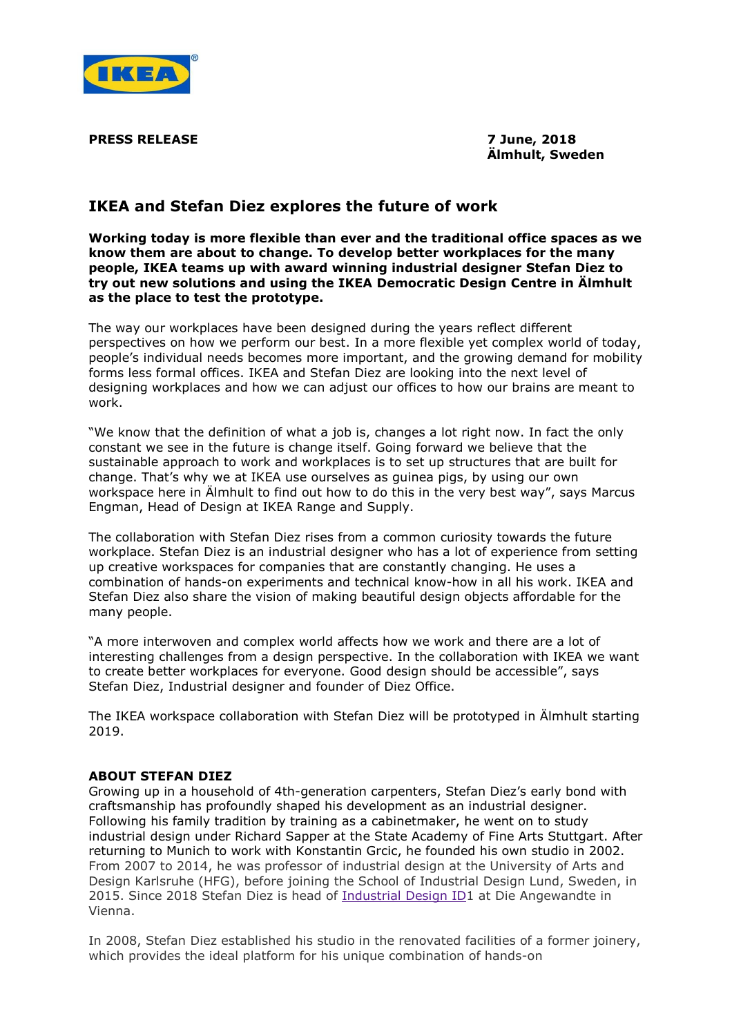

**PRESS RELEASE 7 June, 2018**

**Älmhult, Sweden**

## **IKEA and Stefan Diez explores the future of work**

**Working today is more flexible than ever and the traditional office spaces as we know them are about to change. To develop better workplaces for the many people, IKEA teams up with award winning industrial designer Stefan Diez to try out new solutions and using the IKEA Democratic Design Centre in Älmhult as the place to test the prototype.**

The way our workplaces have been designed during the years reflect different perspectives on how we perform our best. In a more flexible yet complex world of today, people's individual needs becomes more important, and the growing demand for mobility forms less formal offices. IKEA and Stefan Diez are looking into the next level of designing workplaces and how we can adjust our offices to how our brains are meant to work.

"We know that the definition of what a job is, changes a lot right now. In fact the only constant we see in the future is change itself. Going forward we believe that the sustainable approach to work and workplaces is to set up structures that are built for change. That's why we at IKEA use ourselves as guinea pigs, by using our own workspace here in Älmhult to find out how to do this in the very best way", says Marcus Engman, Head of Design at IKEA Range and Supply.

The collaboration with Stefan Diez rises from a common curiosity towards the future workplace. Stefan Diez is an industrial designer who has a lot of experience from setting up creative workspaces for companies that are constantly changing. He uses a combination of hands-on experiments and technical know-how in all his work. IKEA and Stefan Diez also share the vision of making beautiful design objects affordable for the many people.

"A more interwoven and complex world affects how we work and there are a lot of interesting challenges from a design perspective. In the collaboration with IKEA we want to create better workplaces for everyone. Good design should be accessible", says Stefan Diez, Industrial designer and founder of Diez Office.

The IKEA workspace collaboration with Stefan Diez will be prototyped in Älmhult starting 2019.

## **ABOUT STEFAN DIEZ**

Growing up in a household of 4th-generation carpenters, Stefan Diez's early bond with craftsmanship has profoundly shaped his development as an industrial designer. Following his family tradition by training as a cabinetmaker, he went on to study industrial design under Richard Sapper at the State Academy of Fine Arts Stuttgart. After returning to Munich to work with Konstantin Grcic, he founded his own studio in 2002. From 2007 to 2014, he was professor of industrial design at the University of Arts and Design Karlsruhe (HFG), before joining the School of Industrial Design Lund, Sweden, in 2015. Since 2018 Stefan Diez is head of [Industrial](http://www.dieangewandte.at/jart/prj3/angewandte-2016/main.jart?rel=en&content-id=1455126386961&reserve-mode=active) Design ID1 at Die Angewandte in Vienna.

In 2008, Stefan Diez established his studio in the renovated facilities of a former joinery, which provides the ideal platform for his unique combination of hands-on